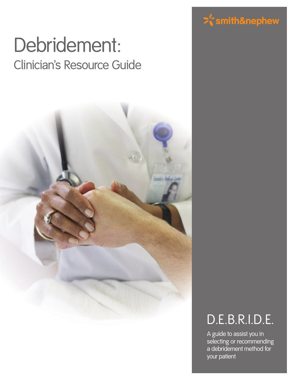# Debridement: Clinician's Resource Guide



# $\geq$ smith&nephew

# D.E.B.R.I.D.E.

A guide to assist you in selecting or recommending a debridement method for your patient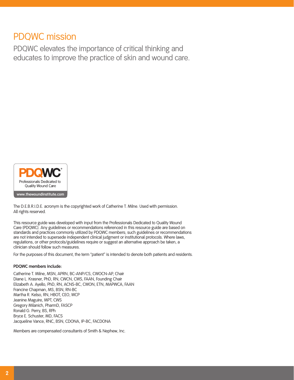## PDQWC mission

PDQWC elevates the importance of critical thinking and educates to improve the practice of skin and wound care.



The D.E.B.R.I.D.E. acronym is the copyrighted work of Catherine T. Milne. Used with permission. All rights reserved.

This resource guide was developed with input from the Professionals Dedicated to Quality Wound Care (PDQWC). Any guidelines or recommendations referenced in this resource guide are based on standards and practices commonly utilized by PDQWC members; such guidelines or recommendations are not intended to supersede independent clinical judgment or institutional protocols. Where laws, regulations, or other protocols/guidelines require or suggest an alternative approach be taken, a clinician should follow such measures.

For the purposes of this document, the term "patient" is intended to denote both patients and residents.

#### **PDQWC members include:**

Catherine T. Milne, MSN, APRN, BC-ANP/CS, CWOCN-AP, Chair Diane L. Krasner, PhD, RN, CWCN, CWS, FAAN, Founding Chair Elizabeth A. Ayello, PhD, RN, ACNS-BC, CWON, ETN, MAPWCA, FAAN Francine Chapman, MS, BSN, RN-BC Martha R. Kelso, RN, HBOT, CEO, WCP Jeanine Maguire, MPT, CWS Gregory Milanich, PharmD, FASCP Ronald G. Perry, BS, RPh Bryce E. Schuster, MD, FACS Jacqueline Vance, RNC, BSN, CDONA, IP-BC, FACDONA

Members are compensated consultants of Smith & Nephew, Inc.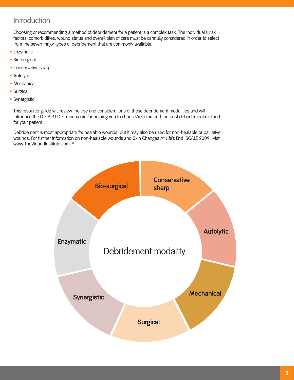## Introduction

 Choosing or recommending a method of debridement for a patient is a complex task. The individual's risk factors, comorbidities, wound status and overall plan of care must be carefully considered in order to select from the seven major types of debridement that are commonly available:

- Enzymatic
- Bio-surgical
- Conservative sharp
- Autolytic
- Mechanical
- Surgical
- Synergistic

 This resource guide will review the use and considerations of these debridement modalities and will introduce the D.E.B.R.I.D.E. mnemonic for helping you to choose/recommend the best debridement method for your patient.

 Debridement is most appropriate for healable wounds, but it may also be used for non-healable or palliative wounds. For further information on non-healable wounds and Skin Changes At Life's End (SCALE 2009), visit www.TheWoundInstitute.com<sup>®</sup>.

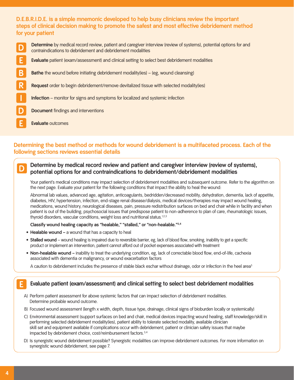### **D.E.B.R.I.D.E. is a simple mnemonic developed to help busy clinicians review the important steps of clinical decision making to promote the safest and most effective debridement method for your patient**

Determine by medical record review, patient and caregiver interview (review of systems), potential options for and contraindications to debridement and debridement modalities **E Evaluate** patient (exam/assessment) and clinical setting to select best debridement modalities **B Bathe** the wound before initiating debridement modality(ies) – (eg, wound cleansing) **R Request** order to begin debridement/remove devitalized tissue with selected modality(ies) **I Infection** – monitor for signs and symptoms for localized and systemic infection **Document** findings and interventions **E Evaluate** outcomes

### **Determining the best method or methods for wound debridement is a multifaceted process. Each of the following sections reviews essential details**

### **Determine by medical record review and patient and caregiver interview (review of systems), potential options for and contraindications to debridement/debridement modalities**

 Your patient's medical conditions may impact selection of debridement modalities and subsequent outcome. Refer to the algorithm on the next page. Evaluate your patient for the following conditions that impact the ability to heal the wound:

 Abnormal lab values, advanced age, agitation, anticoagulants, bedridden/decreased mobility, dehydration, dementia, lack of appetite, diabetes, HIV, hypertension, infection, end-stage renal disease/dialysis, medical devices/therapies may impact wound healing, medications, wound history, neurological diseases, pain, pressure redistribution surfaces on bed and chair while in facility and when patient is out of the building, psychosocial issues that predispose patient to non-adherence to plan of care, rheumatologic issues, thyroid disorders, vascular conditions, weight loss and nutritional status.<sup>1,2,3</sup>

#### **Classify wound healing capacity as "healable," "stalled," or "non-healable."3,4**

- **Healable wound –** a wound that has a capacity to heal
- **Stalled wound**  wound healing is impaired due to reversible barrier, eg, lack of blood flow, smoking, inability to get a specific product or implement an intervention, patient cannot afford out of pocket expenses associated with treatment
- **Non-healable wound –** inability to treat the underlying condition, eg, lack of correctable blood flow, end-of-life, cachexia associated with dementia or malignancy, or wound exacerbation factors

A caution to debridement includes the presence of stable black eschar without drainage, odor or infection in the heel area<sup>5</sup>

#### **Evaluate patient (exam/assessment) and clinical setting to select best debridement modalities**

- A) Perform patient assessment for above systemic factors that can impact selection of debridement modalities. Determine probable wound outcome.
- B) Focused wound assessment (length x width, depth, tissue type, drainage, clinical signs of bioburden locally or systemically)
- C) Environmental assessment (support surfaces on bed and chair, medical devices impacting wound healing, staff knowledge/skill in performing selected debridement modality(ies), patient ability to tolerate selected modality, available clinician skill set and equipment available if complications occur with debridement, patient or clinician safety issues that maybe impacted by debridement choice, cost/reimbursement factors.<sup>3,4</sup>
- D) Is synergistic wound debridement possible? Synergistic modalities can improve debridement outcomes. For more information on synergistic wound debridement, see page 7.

**D**

**E**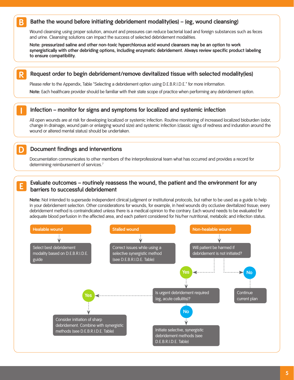#### **Bathe the wound before initiating debridement modality(ies) – (eg, wound cleansing) B**

 Wound cleansing using proper solution, amount and pressures can reduce bacterial load and foreign substances such as feces and urine. Cleansing solutions can impact the success of selected debridement modalities.

 **Note: pressurized saline and other non-toxic hyperchlorous acid wound cleansers may be an option to work synergistically with other debriding options, including enzymatic debridement. Always review specific product labeling to ensure compatibility.**

#### **Request order to begin debridement/remove devitalized tissue with selected modality(ies) R**

Please refer to the Appendix, Table "Selecting a debridement option using D.E.B.R.I.D.E." for more information.

 **Note:** Each healthcare provider should be familiar with their state scope of practice when performing any debridement option.

#### **Infection – monitor for signs and symptoms for localized and systemic infection**

 All open wounds are at risk for developing localized or systemic infection. Routine monitoring of increased localized bioburden (odor, change in drainage, wound pain or enlarging wound size) and systemic infection (classic signs of redness and induration around the wound or altered mental status) should be undertaken.

#### **Document findings and interventions**

**I**

**D**

**E**

 Documentation communicates to other members of the interprofessional team what has occurred and provides a record for determining reimbursement of services.<sup>7</sup>

#### **Evaluate outcomes – routinely reassess the wound, the patient and the environment for any barriers to successful debridement**

 **Note:** Not intended to supersede independent clinical judgment or institutional protocols, but rather to be used as a guide to help in your debridement selection. Other considerations for wounds, for example, in heel wounds dry occlusive devitalized tissue; every debridement method is contraindicated unless there is a medical opinion to the contrary. Each wound needs to be evaluated for adequate blood perfusion in the affected area, and each patient considered for his/her nutritional, metabolic and infection status.

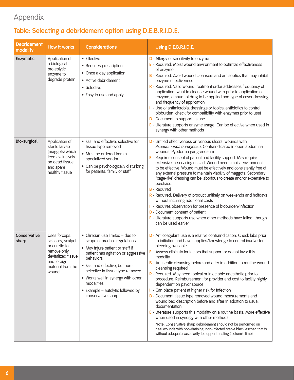## Appendix

## **Table: Selecting a debridement option using D.E.B.R.I.D.E.**

| <b>Debridement</b><br>modality | How it works                                                                                                                          | <b>Considerations</b>                                                                                                                                                                                                                                                                                                                          | Using D.E.B.R.I.D.E.                                                                                                                                                                                                                                                                                                                                                                                                                                                                                                                                                                                                                                                                                                                                                                                                                                                                                                                                                                                                                                              |
|--------------------------------|---------------------------------------------------------------------------------------------------------------------------------------|------------------------------------------------------------------------------------------------------------------------------------------------------------------------------------------------------------------------------------------------------------------------------------------------------------------------------------------------|-------------------------------------------------------------------------------------------------------------------------------------------------------------------------------------------------------------------------------------------------------------------------------------------------------------------------------------------------------------------------------------------------------------------------------------------------------------------------------------------------------------------------------------------------------------------------------------------------------------------------------------------------------------------------------------------------------------------------------------------------------------------------------------------------------------------------------------------------------------------------------------------------------------------------------------------------------------------------------------------------------------------------------------------------------------------|
| Enzymatic                      | Application of<br>a biological<br>proteolytic<br>enzyme to<br>degrade protein                                                         | • Effective<br>• Requires prescription<br>• Once a day application<br>• Active debridement<br>• Selective<br>• Easy to use and apply                                                                                                                                                                                                           | D- Allergy or sensitivity to enzyme<br>E - Required. Moist wound environment to optimize effectiveness<br>of enzyme<br>B - Required. Avoid wound cleansers and antiseptics that may inhibit<br>enzyme effectiveness<br>R - Required. Valid wound treatment order addresses frequency of<br>application, what to cleanse wound with prior to application of<br>enzyme, amount of drug to be applied and type of cover dressing<br>and frequency of application<br>I - Use of antimicrobial dressings or topical antibiotics to control<br>bioburden (check for compatibility with enzymes prior to use)<br>D- Document to support its use<br>$E -$ Literature supports enzyme usage. Can be effective when used in<br>synergy with other methods                                                                                                                                                                                                                                                                                                                   |
| <b>Bio-surgical</b>            | Application of<br>sterile larvae<br>(maggots) which<br>feed exclusively<br>on dead tissue<br>and spare<br>healthy tissue              | • Fast and effective, selective for<br>tissue type removed<br>• Must be ordered from a<br>specialized vendor<br>• Can be psychologically disturbing<br>for patients, family or staff                                                                                                                                                           | D- Limited effectiveness on venous ulcers, wounds with<br>Pseudomonas aeruginosa. Contraindicated in open abdominal<br>wounds, Pyoderma gangrenosum<br>E - Requires consent of patient and facility support. May require<br>extensive in-servicing of staff. Wound needs moist environment<br>to be effective. Wound must be effectively and consistently free of<br>any external pressure to maintain viability of maggots. Secondary<br>"cage-like" dressing can be laborious to create and/or expensive to<br>purchase.<br><b>B</b> - Required<br>R - Required. Delivery of product unlikely on weekends and holidays<br>without incurring additional costs<br>I - Requires observation for presence of bioburden/infection<br>D- Document consent of patient<br>$E -$ Literature supports use when other methods have failed, though<br>can be used earlier                                                                                                                                                                                                   |
| Conservative<br>sharp          | Uses forceps,<br>scissors, scalpel<br>or curette to<br>remove only<br>devitalized tissue<br>and foreign<br>material from the<br>wound | • Clinician use limited - due to<br>scope of practice regulations<br>• May injure patient or staff if<br>patient has agitation or aggressive<br>behaviors<br>• Fast and effective, but non-<br>selective in tissue type removed<br>• Works well in synergy with other<br>modalities<br>• Example – autolytic followed by<br>conservative sharp | D- Anticoagulant use is a relative contraindication. Check labs prior<br>to initiation and have supplies/knowledge to control inadvertent<br>bleeding available<br>E - Assess clinically for factors that support or do not favor this<br>modality<br>B - Antiseptic cleansing before and after in addition to routine wound<br>cleansing required<br>R - Required. May need topical or injectable anesthetic prior to<br>procedure. Reimbursement for provider and cost to facility highly<br>dependent on payor source<br>- Can place patient at higher risk for infection<br>D- Document tissue type removed wound measurements and<br>wound bed description before and after in addition to usual<br>documentation<br>$E -$ Literature supports this modality on a routine basis. More effective<br>when used in synergy with other methods<br>Note: Conservative sharp debridement should not be performed on<br>heel wounds with non-draining, non-infected stable black eschar, that is<br>without adequate vascularity to support healing (ischemic limb) |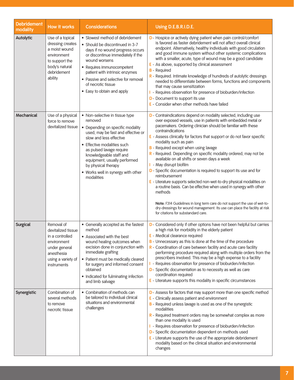| <b>Debridement</b><br>modality | How it works                                                                                                                           | <b>Considerations</b>                                                                                                                                                                                                                                                                                                                           | Using D.E.B.R.I.D.E.                                                                                                                                                                                                                                                                                                                                                                                                                                                                                                                                                                                                                                                                                                                                                                                                                                                                                                                                                       |
|--------------------------------|----------------------------------------------------------------------------------------------------------------------------------------|-------------------------------------------------------------------------------------------------------------------------------------------------------------------------------------------------------------------------------------------------------------------------------------------------------------------------------------------------|----------------------------------------------------------------------------------------------------------------------------------------------------------------------------------------------------------------------------------------------------------------------------------------------------------------------------------------------------------------------------------------------------------------------------------------------------------------------------------------------------------------------------------------------------------------------------------------------------------------------------------------------------------------------------------------------------------------------------------------------------------------------------------------------------------------------------------------------------------------------------------------------------------------------------------------------------------------------------|
| <b>Autolytic</b>               | Use of a topical<br>dressing creates<br>a moist wound<br>environment<br>to support the<br>body's natural<br>debridement<br>ability     | • Slowest method of debridement<br>• Should be discontinued in 3-7<br>days if no wound progress occurs<br>or discontinue immediately if the<br>wound worsens<br>• Requires immunocompetent<br>patient with intrinsic enzymes<br>• Passive and selective for removal<br>of necrotic tissue<br>• Easy to obtain and apply                         | D- Hospice or actively dying patient when pain control/comfort<br>is favored as faster debridement will not affect overall clinical<br>endpoint. Alternatively, healthy individuals with good circulation<br>and good immune system without other systemic complications<br>with a smaller, acute, type of wound may be a good candidate<br>E - As above, supported by clinical assessment<br><b>B</b> - Required<br>R - Required. Intimate knowledge of hundreds of autolytic dressings<br>needed to differentiate between forms, functions and components<br>that may cause sensitization<br>- Requires observation for presence of bioburden/infection<br>D- Document to support its use<br>E - Consider when other methods have failed                                                                                                                                                                                                                                 |
| Mechanical                     | Use of a physical<br>force to remove<br>devitalized tissue                                                                             | • Non-selective in tissue type<br>removed<br>• Depending on specific modality<br>used, may be fast and effective or<br>slow and less effective<br>• Effective modalities such<br>as pulsed lavage require<br>knowledgeable staff and<br>equipment, usually performed<br>by physical therapy<br>• Works well in synergy with other<br>modalities | D - Contraindications depend on modality selected, including use<br>over exposed vessels, use in patients with embedded metal or<br>pacemakers. Ordering clinician should be familiar with these<br>contraindications<br>E - Assess clinically for factors that support or do not favor specific<br>modality such as pain<br><b>B</b> - Required except when using lavage<br>R - Required. Depending on specific modality ordered, may not be<br>available on all shifts or seven days a week<br>I - May disrupt biofilm<br>D - Specific documentation is required to support its use and for<br>reimbursement<br>E - Literature supports selected non-wet-to-dry physical modalities on<br>a routine basis. Can be effective when used in synergy with other<br>methods<br>Note: F314 Guidelines in long term care do not support the use of wet-to-<br>dry-dressings for wound management. Its use can place the facility at risk<br>for citations for substandard care. |
| <b>Surgical</b>                | Removal of<br>devitalized tissue<br>in a controlled<br>environment<br>under general<br>anesthesia<br>using a variety of<br>instruments | • Generally accepted as the fastest<br>method<br>• Associated with the best<br>wound healing outcomes when<br>excision done in conjunction with<br>immediate grafting<br>• Patient must be medically cleared<br>for surgery and informed consent<br>obtained<br>• Indicated for fulminating infection<br>and limb salvage                       | D- Considered only if other options have not been helpful but carries<br>a high risk for morbidity in the elderly patient<br>E - Medical clearance required<br>B - Unnecessary as this is done at the time of the procedure<br>$R$ - Coordination of care between facility and acute care facility<br>performing procedure required along with multiple orders from the<br>prescribers involved. This may be a high expense to a facility<br>I - Requires observation for presence of bioburden/infection<br>D- Specific documentation as to necessity as well as care<br>coordination required<br>E - Literature supports this modality in specific circumstances                                                                                                                                                                                                                                                                                                         |
| Synergistic                    | Combination of<br>several methods<br>to remove<br>necrotic tissue                                                                      | • Combination of methods can<br>be tailored to individual clinical<br>situations and environmental<br>challenges                                                                                                                                                                                                                                | D- Assess for factors that may support more than one specific method<br>E - Clinically assess patient and environment<br>B - Required unless lavage is used as one of the synergistic<br>modalities<br>R - Required treatment orders may be somewhat complex as more<br>than one modality is used<br>I - Requires observation for presence of bioburden/infection<br>D- Specific documentation dependent on methods used<br>$E -$ Literature supports the use of the appropriate debridement<br>modality based on the clinical situation and environmental<br>changes                                                                                                                                                                                                                                                                                                                                                                                                      |